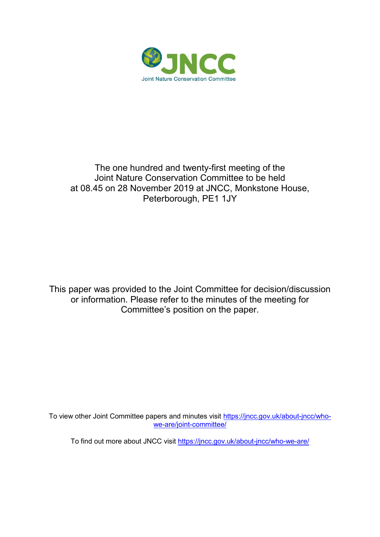

### The one hundred and twenty-first meeting of the Joint Nature Conservation Committee to be held at 08.45 on 28 November 2019 at JNCC, Monkstone House, Peterborough, PE1 1JY

This paper was provided to the Joint Committee for decision/discussion or information. Please refer to the minutes of the meeting for Committee's position on the paper.

To view other Joint Committee papers and minutes visit [https://jncc.gov.uk/about-jncc/who](https://jncc.gov.uk/about-jncc/who-we-are/joint-committee/)[we-are/joint-committee/](https://jncc.gov.uk/about-jncc/who-we-are/joint-committee/)

To find out more about JNCC visit<https://jncc.gov.uk/about-jncc/who-we-are/>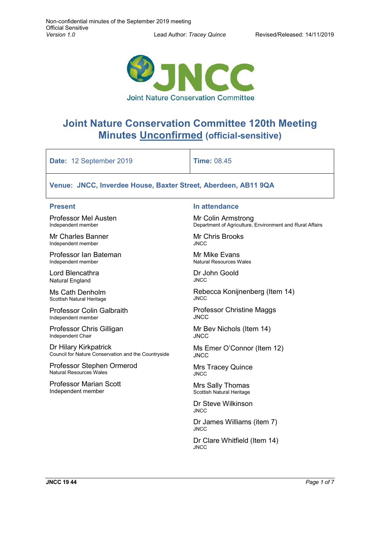۰



# **Joint Nature Conservation Committee 120th Meeting Minutes Unconfirmed (official-sensitive)**

| Date: 12 September 2019                                        | <b>Time: 08.45</b>                                       |
|----------------------------------------------------------------|----------------------------------------------------------|
| Venue: JNCC, Inverdee House, Baxter Street, Aberdeen, AB11 9QA |                                                          |
| <b>Present</b>                                                 | In attendance                                            |
| <b>Professor Mel Austen</b>                                    | Mr Colin Armstrong                                       |
| Independent member                                             | Department of Agriculture, Environment and Rural Affairs |
| Mr Charles Banner                                              | <b>Mr Chris Brooks</b>                                   |
| Independent member                                             | <b>JNCC</b>                                              |
| Professor Ian Bateman                                          | <b>Mr Mike Evans</b>                                     |
| Independent member                                             | Natural Resources Wales                                  |
| Lord Blencathra                                                | Dr John Goold                                            |
| <b>Natural England</b>                                         | <b>JNCC</b>                                              |
| Ms Cath Denholm                                                | Rebecca Konijnenberg (Item 14)                           |
| Scottish Natural Heritage                                      | <b>JNCC</b>                                              |
| Professor Colin Galbraith                                      | <b>Professor Christine Maggs</b>                         |
| Independent member                                             | <b>JNCC</b>                                              |
| Professor Chris Gilligan                                       | Mr Bev Nichols (Item 14)                                 |
| Independent Chair                                              | <b>JNCC</b>                                              |
| Dr Hilary Kirkpatrick                                          | Ms Emer O'Connor (Item 12)                               |
| Council for Nature Conservation and the Countryside            | <b>JNCC</b>                                              |
| Professor Stephen Ormerod                                      | <b>Mrs Tracey Quince</b>                                 |
| <b>Natural Resources Wales</b>                                 | <b>JNCC</b>                                              |
| <b>Professor Marian Scott</b>                                  | Mrs Sally Thomas                                         |
| Independent member                                             | Scottish Natural Heritage                                |
|                                                                | Dr Steve Wilkinson<br><b>JNCC</b>                        |
|                                                                | Dr James Williams (item 7)<br><b>JNCC</b>                |
|                                                                | Dr Clare Whitfield (Item 14)<br><b>JNCC</b>              |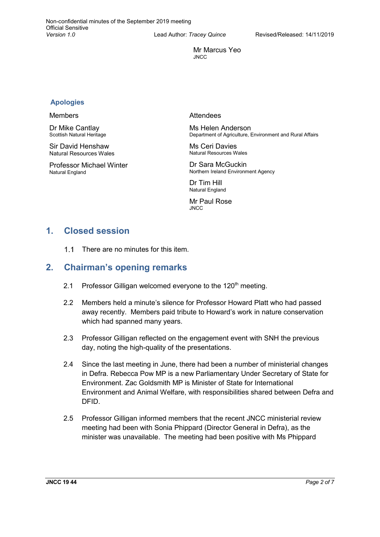Mr Marcus Yeo JNCC

#### **Apologies**

#### Members

Dr Mike Cantlay Scottish Natural Heritage

Sir David Henshaw Natural Resources Wales

Professor Michael Winter Natural England

#### Attendees

Ms Helen Anderson Department of Agriculture, Environment and Rural Affairs

Ms Ceri Davies Natural Resources Wales

Dr Sara McGuckin Northern Ireland Environment Agency

Dr Tim Hill Natural England

Mr Paul Rose JNCC

### **1. Closed session**

 $11$ There are no minutes for this item.

### **2. Chairman's opening remarks**

- 2.1 Professor Gilligan welcomed everyone to the  $120<sup>th</sup>$  meeting.
- 2.2 Members held a minute's silence for Professor Howard Platt who had passed away recently. Members paid tribute to Howard's work in nature conservation which had spanned many years.
- 2.3 Professor Gilligan reflected on the engagement event with SNH the previous day, noting the high-quality of the presentations.
- 2.4 Since the last meeting in June, there had been a number of ministerial changes in Defra. Rebecca Pow MP is a new Parliamentary Under Secretary of State for Environment. Zac Goldsmith MP is Minister of State for International Environment and Animal Welfare, with responsibilities shared between Defra and DFID.
- 2.5 Professor Gilligan informed members that the recent JNCC ministerial review meeting had been with Sonia Phippard (Director General in Defra), as the minister was unavailable. The meeting had been positive with Ms Phippard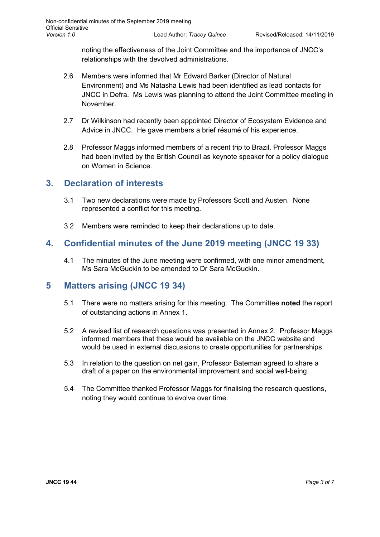noting the effectiveness of the Joint Committee and the importance of JNCC's relationships with the devolved administrations.

- 2.6 Members were informed that Mr Edward Barker (Director of Natural Environment) and Ms Natasha Lewis had been identified as lead contacts for JNCC in Defra. Ms Lewis was planning to attend the Joint Committee meeting in November.
- 2.7 Dr Wilkinson had recently been appointed Director of Ecosystem Evidence and Advice in JNCC. He gave members a brief résumé of his experience.
- 2.8 Professor Maggs informed members of a recent trip to Brazil. Professor Maggs had been invited by the British Council as keynote speaker for a policy dialogue on Women in Science.

### **3. Declaration of interests**

- 3.1 Two new declarations were made by Professors Scott and Austen. None represented a conflict for this meeting.
- 3.2 Members were reminded to keep their declarations up to date.

### **4. Confidential minutes of the June 2019 meeting (JNCC 19 33)**

4.1 The minutes of the June meeting were confirmed, with one minor amendment, Ms Sara McGuckin to be amended to Dr Sara McGuckin.

### **5 Matters arising (JNCC 19 34)**

- 5.1 There were no matters arising for this meeting. The Committee **noted** the report of outstanding actions in Annex 1.
- 5.2 A revised list of research questions was presented in Annex 2. Professor Maggs informed members that these would be available on the JNCC website and would be used in external discussions to create opportunities for partnerships.
- 5.3 In relation to the question on net gain, Professor Bateman agreed to share a draft of a paper on the environmental improvement and social well-being.
- 5.4 The Committee thanked Professor Maggs for finalising the research questions, noting they would continue to evolve over time.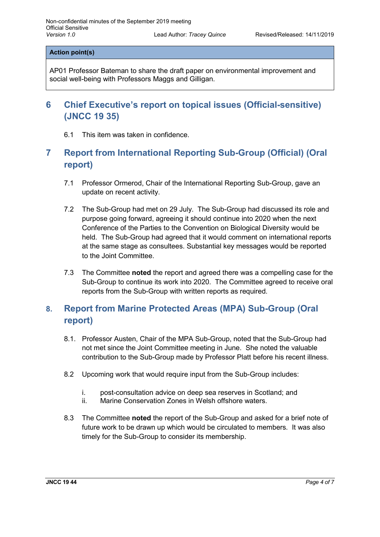**Action point(s)**

AP01 Professor Bateman to share the draft paper on environmental improvement and social well-being with Professors Maggs and Gilligan.

## **6 Chief Executive's report on topical issues (Official-sensitive) (JNCC 19 35)**

6.1 This item was taken in confidence.

## **7 Report from International Reporting Sub-Group (Official) (Oral report)**

- 7.1 Professor Ormerod, Chair of the International Reporting Sub-Group, gave an update on recent activity.
- 7.2 The Sub-Group had met on 29 July. The Sub-Group had discussed its role and purpose going forward, agreeing it should continue into 2020 when the next Conference of the Parties to the Convention on Biological Diversity would be held. The Sub-Group had agreed that it would comment on international reports at the same stage as consultees. Substantial key messages would be reported to the Joint Committee.
- 7.3 The Committee **noted** the report and agreed there was a compelling case for the Sub-Group to continue its work into 2020. The Committee agreed to receive oral reports from the Sub-Group with written reports as required.

## **8. Report from Marine Protected Areas (MPA) Sub-Group (Oral report)**

- 8.1. Professor Austen, Chair of the MPA Sub-Group, noted that the Sub-Group had not met since the Joint Committee meeting in June. She noted the valuable contribution to the Sub-Group made by Professor Platt before his recent illness.
- 8.2 Upcoming work that would require input from the Sub-Group includes:
	- i. post-consultation advice on deep sea reserves in Scotland; and<br>ii. Marine Conservation Zones in Welsh offshore waters.
	- Marine Conservation Zones in Welsh offshore waters.
- 8.3 The Committee **noted** the report of the Sub-Group and asked for a brief note of future work to be drawn up which would be circulated to members. It was also timely for the Sub-Group to consider its membership.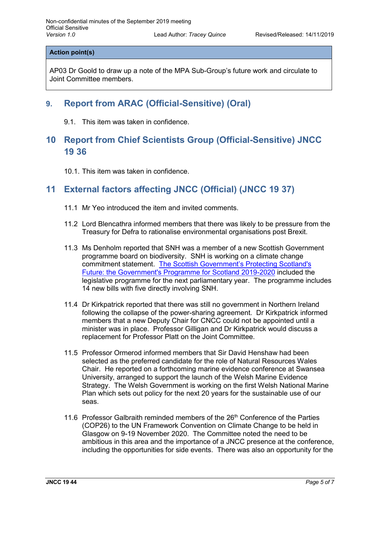### **Action point(s)**

AP03 Dr Goold to draw up a note of the MPA Sub-Group's future work and circulate to Joint Committee members.

### **9. Report from ARAC (Official-Sensitive) (Oral)**

9.1. This item was taken in confidence.

### **10 Report from Chief Scientists Group (Official-Sensitive) JNCC 19 36**

10.1. This item was taken in confidence.

### **11 External factors affecting JNCC (Official) (JNCC 19 37)**

- 11.1 Mr Yeo introduced the item and invited comments.
- 11.2 Lord Blencathra informed members that there was likely to be pressure from the Treasury for Defra to rationalise environmental organisations post Brexit.
- 11.3 Ms Denholm reported that SNH was a member of a new Scottish Government programme board on biodiversity. SNH is working on a climate change commitment statement. [The Scottish Government's Protecting Scotland's](https://www.gov.scot/publications/protecting-scotlands-future-governments-programme-scotland-2019-20/pages/5/)  [Future: the Government's Programme for Scotland 2019-2020](https://www.gov.scot/publications/protecting-scotlands-future-governments-programme-scotland-2019-20/pages/5/) included the legislative programme for the next parliamentary year. The programme includes 14 new bills with five directly involving SNH.
- 11.4 Dr Kirkpatrick reported that there was still no government in Northern Ireland following the collapse of the power-sharing agreement. Dr Kirkpatrick informed members that a new Deputy Chair for CNCC could not be appointed until a minister was in place. Professor Gilligan and Dr Kirkpatrick would discuss a replacement for Professor Platt on the Joint Committee.
- 11.5 Professor Ormerod informed members that Sir David Henshaw had been selected as the preferred candidate for the role of Natural Resources Wales Chair. He reported on a forthcoming marine evidence conference at Swansea University, arranged to support the launch of the Welsh Marine Evidence Strategy. The Welsh Government is working on the first Welsh National Marine Plan which sets out policy for the next 20 years for the sustainable use of our seas.
- 11.6 Professor Galbraith reminded members of the  $26<sup>th</sup>$  Conference of the Parties (COP26) to the UN Framework Convention on Climate Change to be held in Glasgow on 9-19 November 2020. The Committee noted the need to be ambitious in this area and the importance of a JNCC presence at the conference, including the opportunities for side events. There was also an opportunity for the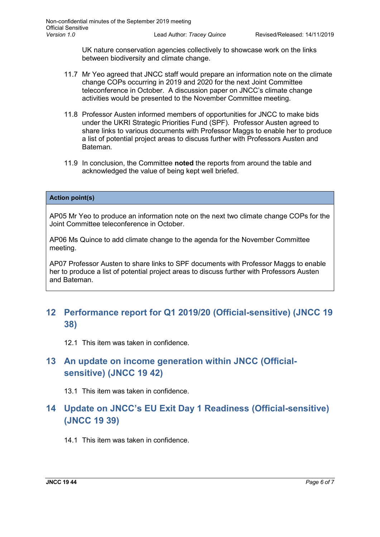UK nature conservation agencies collectively to showcase work on the links between biodiversity and climate change.

- 11.7 Mr Yeo agreed that JNCC staff would prepare an information note on the climate change COPs occurring in 2019 and 2020 for the next Joint Committee teleconference in October. A discussion paper on JNCC's climate change activities would be presented to the November Committee meeting.
- 11.8 Professor Austen informed members of opportunities for JNCC to make bids under the UKRI Strategic Priorities Fund (SPF). Professor Austen agreed to share links to various documents with Professor Maggs to enable her to produce a list of potential project areas to discuss further with Professors Austen and Bateman.
- 11.9 In conclusion, the Committee **noted** the reports from around the table and acknowledged the value of being kept well briefed.

#### **Action point(s)**

AP05 Mr Yeo to produce an information note on the next two climate change COPs for the Joint Committee teleconference in October.

AP06 Ms Quince to add climate change to the agenda for the November Committee meeting.

AP07 Professor Austen to share links to SPF documents with Professor Maggs to enable her to produce a list of potential project areas to discuss further with Professors Austen and Bateman.

### **12 Performance report for Q1 2019/20 (Official-sensitive) (JNCC 19 38)**

12.1 This item was taken in confidence.

### **13 An update on income generation within JNCC (Officialsensitive) (JNCC 19 42)**

13.1 This item was taken in confidence.

### **14 Update on JNCC's EU Exit Day 1 Readiness (Official-sensitive) (JNCC 19 39)**

14.1 This item was taken in confidence.